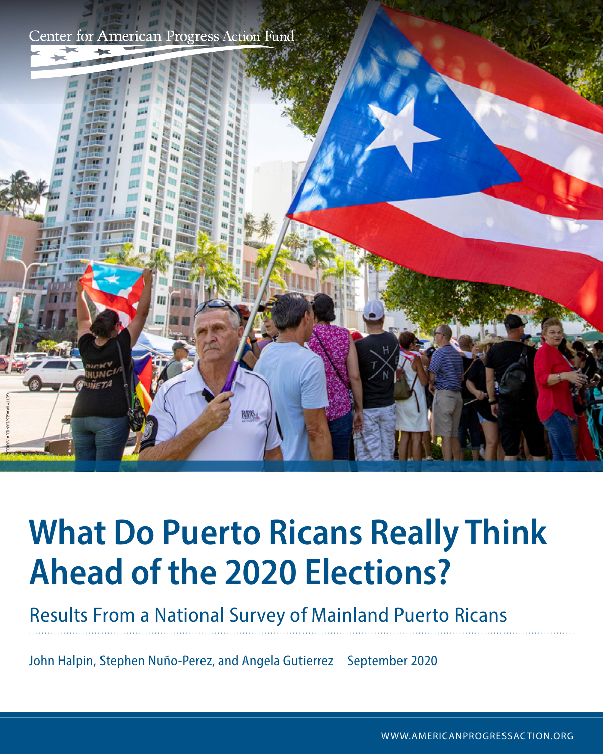Center for American Progress Action Fund



# **What Do Puerto Ricans Really Think Ahead of the 2020 Elections?**

Results From a National Survey of Mainland Puerto Ricans

John Halpin, Stephen Nuño-Perez, and Angela Gutierrez September 2020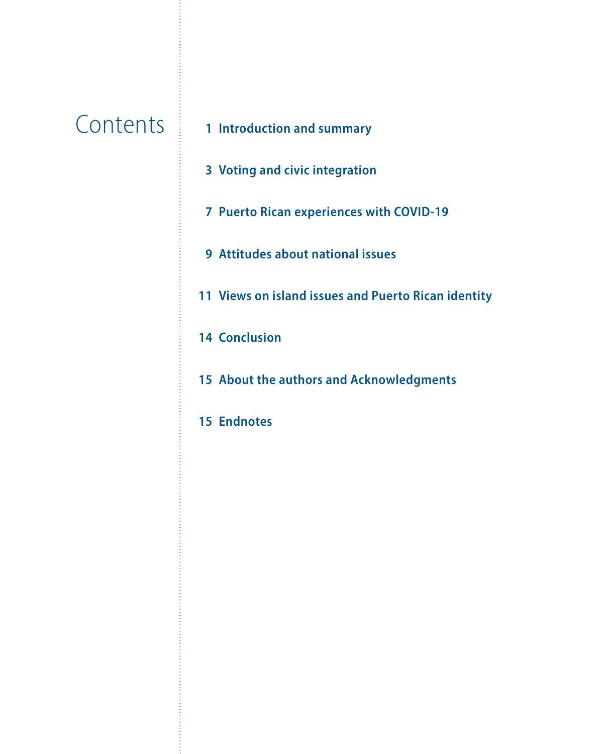## **Contents**

- **Introduction and summary**
	- **Voting and civic integration**
	- **Puerto Rican experiences with COVID-19**
	- **Attitudes about national issues**
	- **Views on island issues and Puerto Rican identity**
	- **Conclusion**
	- **About the authors and Acknowledgments**
	- **Endnotes**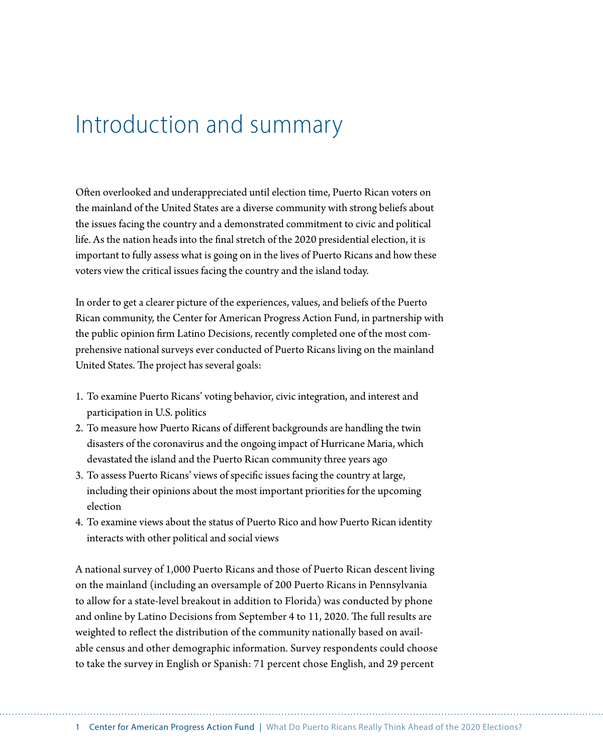### Introduction and summary

Often overlooked and underappreciated until election time, Puerto Rican voters on the mainland of the United States are a diverse community with strong beliefs about the issues facing the country and a demonstrated commitment to civic and political life. As the nation heads into the final stretch of the 2020 presidential election, it is important to fully assess what is going on in the lives of Puerto Ricans and how these voters view the critical issues facing the country and the island today.

In order to get a clearer picture of the experiences, values, and beliefs of the Puerto Rican community, the Center for American Progress Action Fund, in partnership with the public opinion firm Latino Decisions, recently completed one of the most comprehensive national surveys ever conducted of Puerto Ricans living on the mainland United States. The project has several goals:

- 1. To examine Puerto Ricans' voting behavior, civic integration, and interest and participation in U.S. politics
- 2. To measure how Puerto Ricans of different backgrounds are handling the twin disasters of the coronavirus and the ongoing impact of Hurricane Maria, which devastated the island and the Puerto Rican community three years ago
- 3. To assess Puerto Ricans' views of specific issues facing the country at large, including their opinions about the most important priorities for the upcoming election
- 4. To examine views about the status of Puerto Rico and how Puerto Rican identity interacts with other political and social views

A national survey of 1,000 Puerto Ricans and those of Puerto Rican descent living on the mainland (including an oversample of 200 Puerto Ricans in Pennsylvania to allow for a state-level breakout in addition to Florida) was conducted by phone and online by Latino Decisions from September 4 to 11, 2020. The full results are weighted to reflect the distribution of the community nationally based on available census and other demographic information. Survey respondents could choose to take the survey in English or Spanish: 71 percent chose English, and 29 percent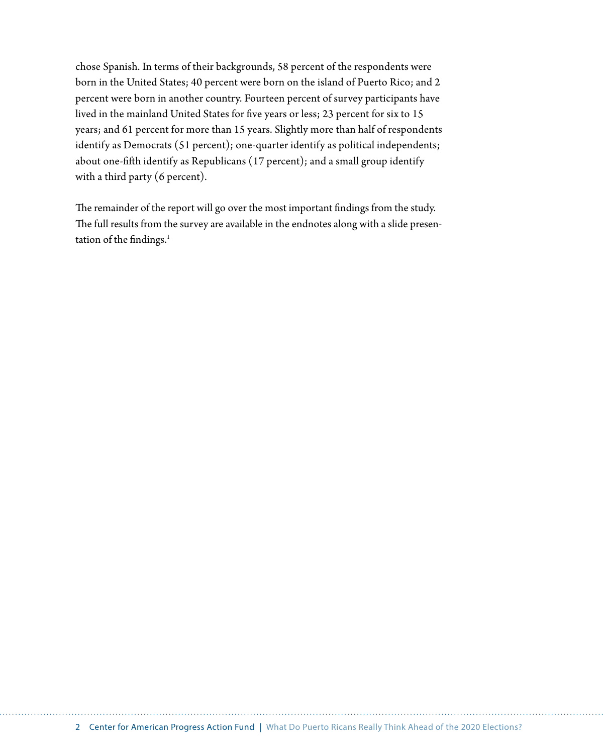chose Spanish. In terms of their backgrounds, 58 percent of the respondents were born in the United States; 40 percent were born on the island of Puerto Rico; and 2 percent were born in another country. Fourteen percent of survey participants have lived in the mainland United States for five years or less; 23 percent for six to 15 years; and 61 percent for more than 15 years. Slightly more than half of respondents identify as Democrats (51 percent); one-quarter identify as political independents; about one-fifth identify as Republicans (17 percent); and a small group identify with a third party (6 percent).

The remainder of the report will go over the most important findings from the study. The full results from the survey are available in the endnotes along with a slide presentation of the findings. $<sup>1</sup>$ </sup>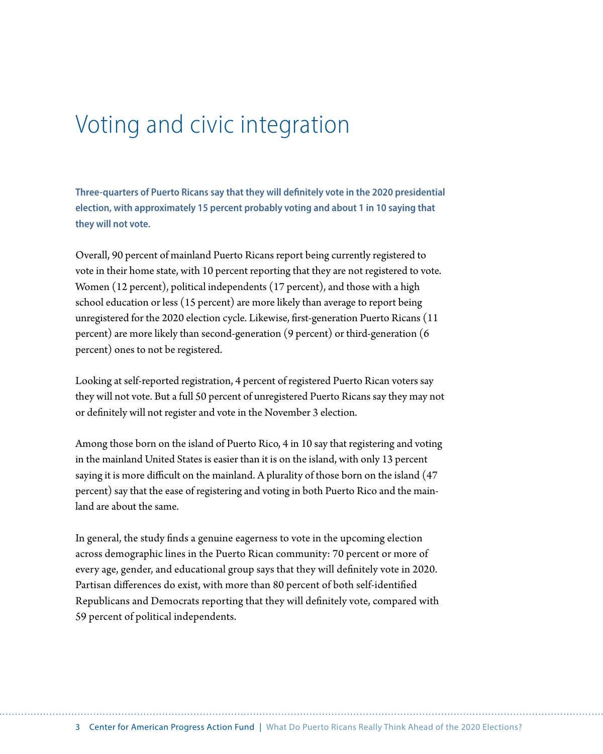### Voting and civic integration

**Three-quarters of Puerto Ricans say that they will definitely vote in the 2020 presidential election, with approximately 15 percent probably voting and about 1 in 10 saying that they will not vote.**

Overall, 90 percent of mainland Puerto Ricans report being currently registered to vote in their home state, with 10 percent reporting that they are not registered to vote. Women (12 percent), political independents (17 percent), and those with a high school education or less (15 percent) are more likely than average to report being unregistered for the 2020 election cycle. Likewise, first-generation Puerto Ricans (11 percent) are more likely than second-generation (9 percent) or third-generation (6 percent) ones to not be registered.

Looking at self-reported registration, 4 percent of registered Puerto Rican voters say they will not vote. But a full 50 percent of unregistered Puerto Ricans say they may not or definitely will not register and vote in the November 3 election.

Among those born on the island of Puerto Rico, 4 in 10 say that registering and voting in the mainland United States is easier than it is on the island, with only 13 percent saying it is more difficult on the mainland. A plurality of those born on the island (47 percent) say that the ease of registering and voting in both Puerto Rico and the mainland are about the same.

In general, the study finds a genuine eagerness to vote in the upcoming election across demographic lines in the Puerto Rican community: 70 percent or more of every age, gender, and educational group says that they will definitely vote in 2020. Partisan differences do exist, with more than 80 percent of both self-identified Republicans and Democrats reporting that they will definitely vote, compared with 59 percent of political independents.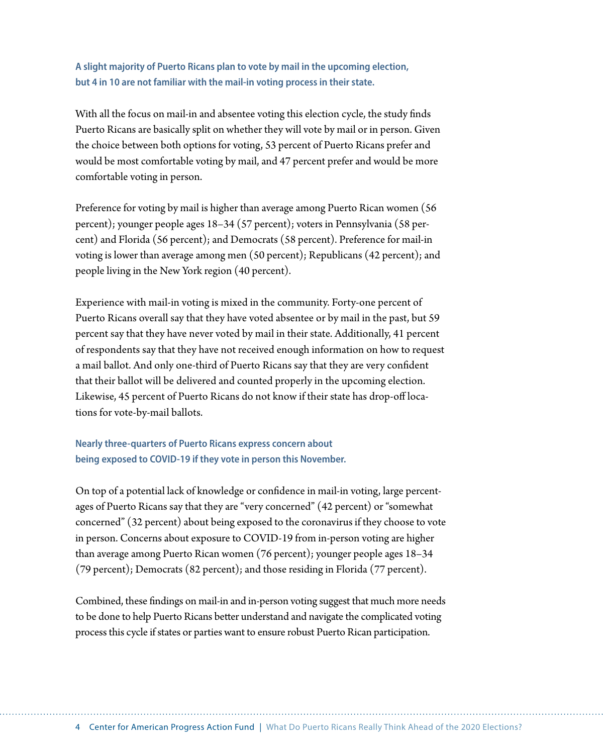**A slight majority of Puerto Ricans plan to vote by mail in the upcoming election, but 4 in 10 are not familiar with the mail-in voting process in their state.**

With all the focus on mail-in and absentee voting this election cycle, the study finds Puerto Ricans are basically split on whether they will vote by mail or in person. Given the choice between both options for voting, 53 percent of Puerto Ricans prefer and would be most comfortable voting by mail, and 47 percent prefer and would be more comfortable voting in person.

Preference for voting by mail is higher than average among Puerto Rican women (56 percent); younger people ages 18–34 (57 percent); voters in Pennsylvania (58 percent) and Florida (56 percent); and Democrats (58 percent). Preference for mail-in voting is lower than average among men (50 percent); Republicans (42 percent); and people living in the New York region (40 percent).

Experience with mail-in voting is mixed in the community. Forty-one percent of Puerto Ricans overall say that they have voted absentee or by mail in the past, but 59 percent say that they have never voted by mail in their state. Additionally, 41 percent of respondents say that they have not received enough information on how to request a mail ballot. And only one-third of Puerto Ricans say that they are very confident that their ballot will be delivered and counted properly in the upcoming election. Likewise, 45 percent of Puerto Ricans do not know if their state has drop-off locations for vote-by-mail ballots.

**Nearly three-quarters of Puerto Ricans express concern about being exposed to COVID-19 if they vote in person this November.**

On top of a potential lack of knowledge or confidence in mail-in voting, large percentages of Puerto Ricans say that they are "very concerned" (42 percent) or "somewhat concerned" (32 percent) about being exposed to the coronavirus if they choose to vote in person. Concerns about exposure to COVID-19 from in-person voting are higher than average among Puerto Rican women (76 percent); younger people ages 18–34 (79 percent); Democrats (82 percent); and those residing in Florida (77 percent).

Combined, these findings on mail-in and in-person voting suggest that much more needs to be done to help Puerto Ricans better understand and navigate the complicated voting process this cycle if states or parties want to ensure robust Puerto Rican participation.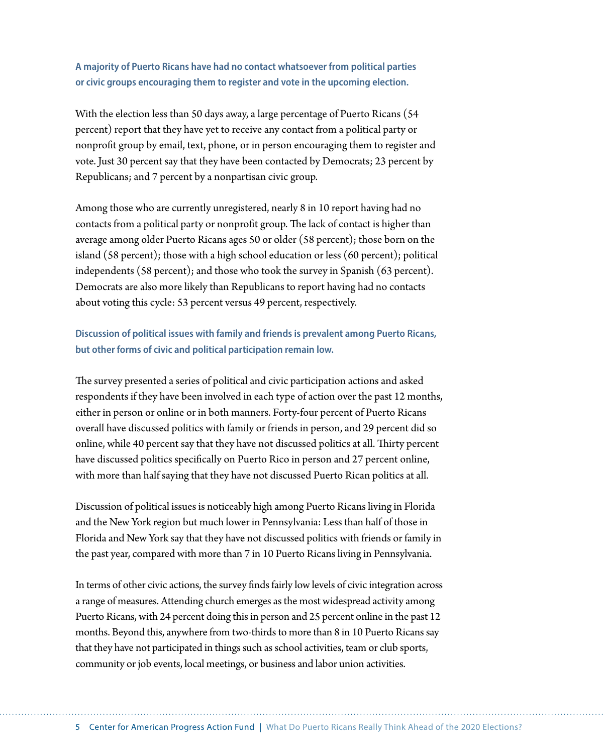**A majority of Puerto Ricans have had no contact whatsoever from political parties or civic groups encouraging them to register and vote in the upcoming election.**

With the election less than 50 days away, a large percentage of Puerto Ricans (54 percent) report that they have yet to receive any contact from a political party or nonprofit group by email, text, phone, or in person encouraging them to register and vote. Just 30 percent say that they have been contacted by Democrats; 23 percent by Republicans; and 7 percent by a nonpartisan civic group.

Among those who are currently unregistered, nearly 8 in 10 report having had no contacts from a political party or nonprofit group. The lack of contact is higher than average among older Puerto Ricans ages 50 or older (58 percent); those born on the island (58 percent); those with a high school education or less (60 percent); political independents (58 percent); and those who took the survey in Spanish (63 percent). Democrats are also more likely than Republicans to report having had no contacts about voting this cycle: 53 percent versus 49 percent, respectively.

#### **Discussion of political issues with family and friends is prevalent among Puerto Ricans, but other forms of civic and political participation remain low.**

The survey presented a series of political and civic participation actions and asked respondents if they have been involved in each type of action over the past 12 months, either in person or online or in both manners. Forty-four percent of Puerto Ricans overall have discussed politics with family or friends in person, and 29 percent did so online, while 40 percent say that they have not discussed politics at all. Thirty percent have discussed politics specifically on Puerto Rico in person and 27 percent online, with more than half saying that they have not discussed Puerto Rican politics at all.

Discussion of political issues is noticeably high among Puerto Ricans living in Florida and the New York region but much lower in Pennsylvania: Less than half of those in Florida and New York say that they have not discussed politics with friends or family in the past year, compared with more than 7 in 10 Puerto Ricans living in Pennsylvania.

In terms of other civic actions, the survey finds fairly low levels of civic integration across a range of measures. Attending church emerges as the most widespread activity among Puerto Ricans, with 24 percent doing this in person and 25 percent online in the past 12 months. Beyond this, anywhere from two-thirds to more than 8 in 10 Puerto Ricans say that they have not participated in things such as school activities, team or club sports, community or job events, local meetings, or business and labor union activities.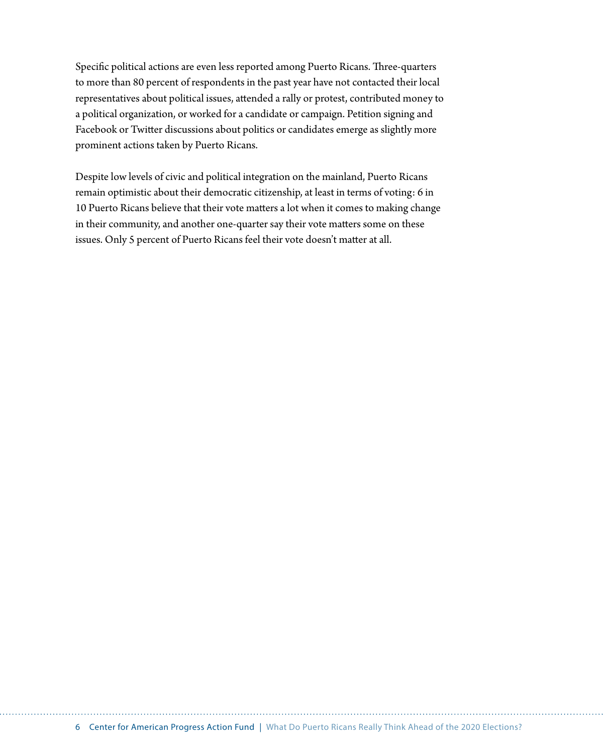Specific political actions are even less reported among Puerto Ricans. Three-quarters to more than 80 percent of respondents in the past year have not contacted their local representatives about political issues, attended a rally or protest, contributed money to a political organization, or worked for a candidate or campaign. Petition signing and Facebook or Twitter discussions about politics or candidates emerge as slightly more prominent actions taken by Puerto Ricans.

Despite low levels of civic and political integration on the mainland, Puerto Ricans remain optimistic about their democratic citizenship, at least in terms of voting: 6 in 10 Puerto Ricans believe that their vote matters a lot when it comes to making change in their community, and another one-quarter say their vote matters some on these issues. Only 5 percent of Puerto Ricans feel their vote doesn't matter at all.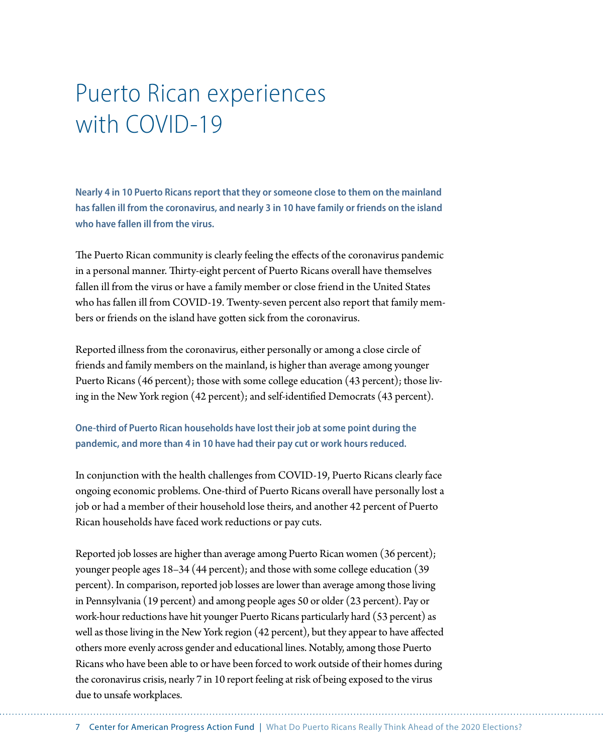# Puerto Rican experiences with COVID-19

**Nearly 4 in 10 Puerto Ricans report that they or someone close to them on the mainland has fallen ill from the coronavirus, and nearly 3 in 10 have family or friends on the island who have fallen ill from the virus.**

The Puerto Rican community is clearly feeling the effects of the coronavirus pandemic in a personal manner. Thirty-eight percent of Puerto Ricans overall have themselves fallen ill from the virus or have a family member or close friend in the United States who has fallen ill from COVID-19. Twenty-seven percent also report that family members or friends on the island have gotten sick from the coronavirus.

Reported illness from the coronavirus, either personally or among a close circle of friends and family members on the mainland, is higher than average among younger Puerto Ricans (46 percent); those with some college education (43 percent); those living in the New York region (42 percent); and self-identified Democrats (43 percent).

**One-third of Puerto Rican households have lost their job at some point during the pandemic, and more than 4 in 10 have had their pay cut or work hours reduced.**

In conjunction with the health challenges from COVID-19, Puerto Ricans clearly face ongoing economic problems. One-third of Puerto Ricans overall have personally lost a job or had a member of their household lose theirs, and another 42 percent of Puerto Rican households have faced work reductions or pay cuts.

Reported job losses are higher than average among Puerto Rican women (36 percent); younger people ages 18–34 (44 percent); and those with some college education (39 percent). In comparison, reported job losses are lower than average among those living in Pennsylvania (19 percent) and among people ages 50 or older (23 percent). Pay or work-hour reductions have hit younger Puerto Ricans particularly hard (53 percent) as well as those living in the New York region (42 percent), but they appear to have affected others more evenly across gender and educational lines. Notably, among those Puerto Ricans who have been able to or have been forced to work outside of their homes during the coronavirus crisis, nearly 7 in 10 report feeling at risk of being exposed to the virus due to unsafe workplaces.

7 Center for American Progress Action Fund | What Do Puerto Ricans Really Think Ahead of the 2020 Elections?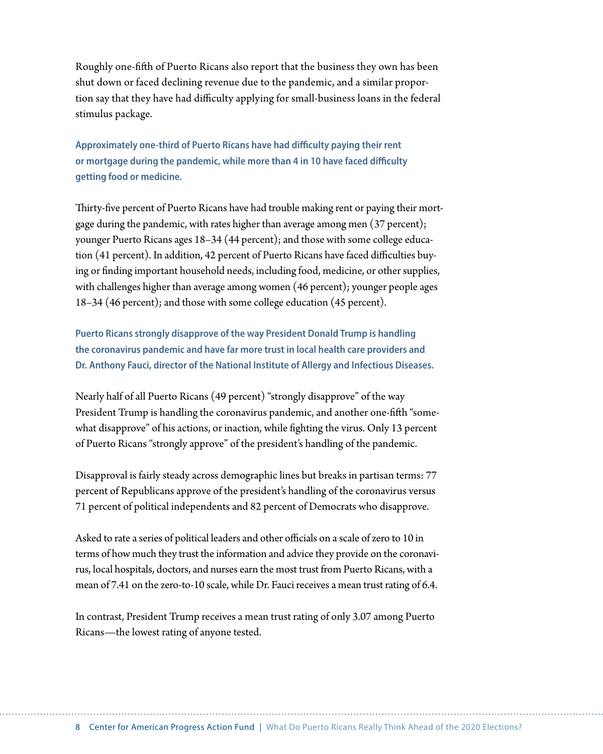Roughly one-fifth of Puerto Ricans also report that the business they own has been shut down or faced declining revenue due to the pandemic, and a similar proportion say that they have had difficulty applying for small-business loans in the federal stimulus package.

**Approximately one-third of Puerto Ricans have had difficulty paying their rent or mortgage during the pandemic, while more than 4 in 10 have faced difficulty getting food or medicine.**

Thirty-five percent of Puerto Ricans have had trouble making rent or paying their mortgage during the pandemic, with rates higher than average among men (37 percent); younger Puerto Ricans ages 18–34 (44 percent); and those with some college education (41 percent). In addition, 42 percent of Puerto Ricans have faced difficulties buying or finding important household needs, including food, medicine, or other supplies, with challenges higher than average among women (46 percent); younger people ages 18–34 (46 percent); and those with some college education (45 percent).

**Puerto Ricans strongly disapprove of the way President Donald Trump is handling the coronavirus pandemic and have far more trust in local health care providers and Dr. Anthony Fauci, director of the National Institute of Allergy and Infectious Diseases.**

Nearly half of all Puerto Ricans (49 percent) "strongly disapprove" of the way President Trump is handling the coronavirus pandemic, and another one-fifth "somewhat disapprove" of his actions, or inaction, while fighting the virus. Only 13 percent of Puerto Ricans "strongly approve" of the president's handling of the pandemic.

Disapproval is fairly steady across demographic lines but breaks in partisan terms: 77 percent of Republicans approve of the president's handling of the coronavirus versus 71 percent of political independents and 82 percent of Democrats who disapprove.

Asked to rate a series of political leaders and other officials on a scale of zero to 10 in terms of how much they trust the information and advice they provide on the coronavirus, local hospitals, doctors, and nurses earn the most trust from Puerto Ricans, with a mean of 7.41 on the zero-to-10 scale, while Dr. Fauci receives a mean trust rating of 6.4.

In contrast, President Trump receives a mean trust rating of only 3.07 among Puerto Ricans—the lowest rating of anyone tested.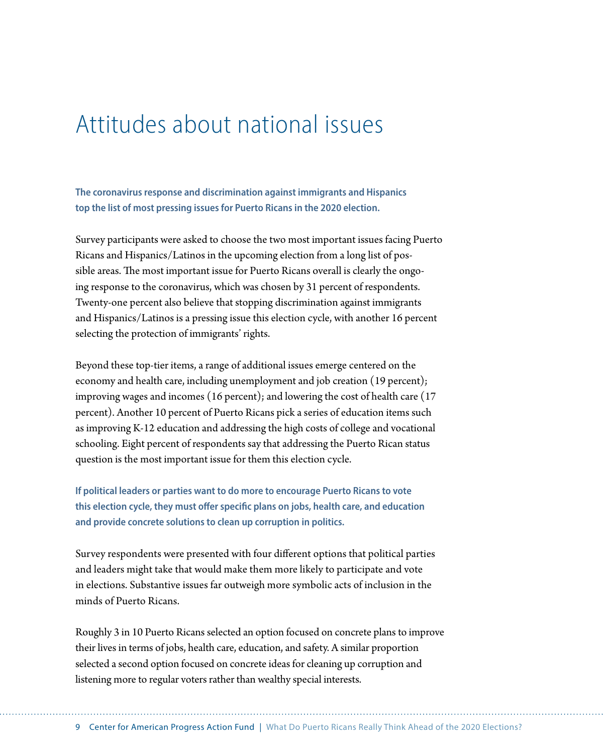### Attitudes about national issues

**The coronavirus response and discrimination against immigrants and Hispanics top the list of most pressing issues for Puerto Ricans in the 2020 election.**

Survey participants were asked to choose the two most important issues facing Puerto Ricans and Hispanics/Latinos in the upcoming election from a long list of possible areas. The most important issue for Puerto Ricans overall is clearly the ongoing response to the coronavirus, which was chosen by 31 percent of respondents. Twenty-one percent also believe that stopping discrimination against immigrants and Hispanics/Latinos is a pressing issue this election cycle, with another 16 percent selecting the protection of immigrants' rights.

Beyond these top-tier items, a range of additional issues emerge centered on the economy and health care, including unemployment and job creation (19 percent); improving wages and incomes (16 percent); and lowering the cost of health care (17 percent). Another 10 percent of Puerto Ricans pick a series of education items such as improving K-12 education and addressing the high costs of college and vocational schooling. Eight percent of respondents say that addressing the Puerto Rican status question is the most important issue for them this election cycle.

**If political leaders or parties want to do more to encourage Puerto Ricans to vote this election cycle, they must offer specific plans on jobs, health care, and education and provide concrete solutions to clean up corruption in politics.**

Survey respondents were presented with four different options that political parties and leaders might take that would make them more likely to participate and vote in elections. Substantive issues far outweigh more symbolic acts of inclusion in the minds of Puerto Ricans.

Roughly 3 in 10 Puerto Ricans selected an option focused on concrete plans to improve their lives in terms of jobs, health care, education, and safety. A similar proportion selected a second option focused on concrete ideas for cleaning up corruption and listening more to regular voters rather than wealthy special interests.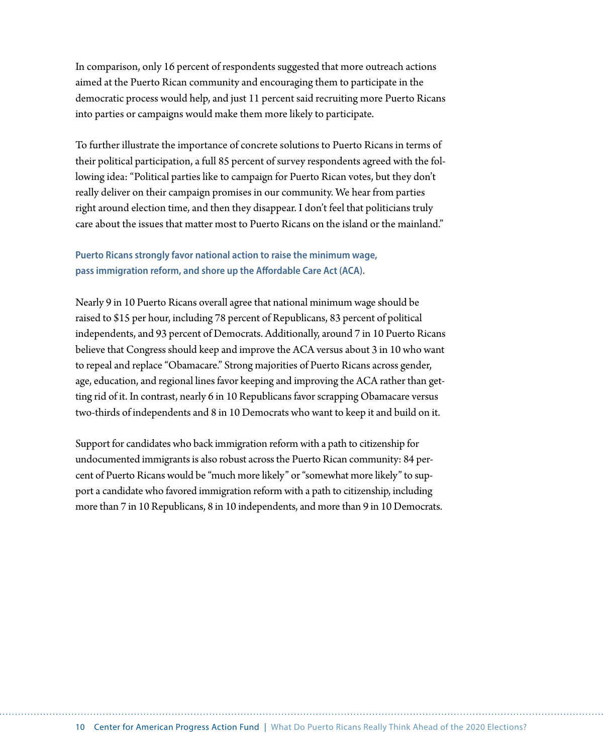In comparison, only 16 percent of respondents suggested that more outreach actions aimed at the Puerto Rican community and encouraging them to participate in the democratic process would help, and just 11 percent said recruiting more Puerto Ricans into parties or campaigns would make them more likely to participate.

To further illustrate the importance of concrete solutions to Puerto Ricans in terms of their political participation, a full 85 percent of survey respondents agreed with the following idea: "Political parties like to campaign for Puerto Rican votes, but they don't really deliver on their campaign promises in our community. We hear from parties right around election time, and then they disappear. I don't feel that politicians truly care about the issues that matter most to Puerto Ricans on the island or the mainland."

#### **Puerto Ricans strongly favor national action to raise the minimum wage, pass immigration reform, and shore up the Affordable Care Act (ACA).**

Nearly 9 in 10 Puerto Ricans overall agree that national minimum wage should be raised to \$15 per hour, including 78 percent of Republicans, 83 percent of political independents, and 93 percent of Democrats. Additionally, around 7 in 10 Puerto Ricans believe that Congress should keep and improve the ACA versus about 3 in 10 who want to repeal and replace "Obamacare." Strong majorities of Puerto Ricans across gender, age, education, and regional lines favor keeping and improving the ACA rather than getting rid of it. In contrast, nearly 6 in 10 Republicans favor scrapping Obamacare versus two-thirds of independents and 8 in 10 Democrats who want to keep it and build on it.

Support for candidates who back immigration reform with a path to citizenship for undocumented immigrants is also robust across the Puerto Rican community: 84 percent of Puerto Ricans would be "much more likely" or "somewhat more likely" to support a candidate who favored immigration reform with a path to citizenship, including more than 7 in 10 Republicans, 8 in 10 independents, and more than 9 in 10 Democrats.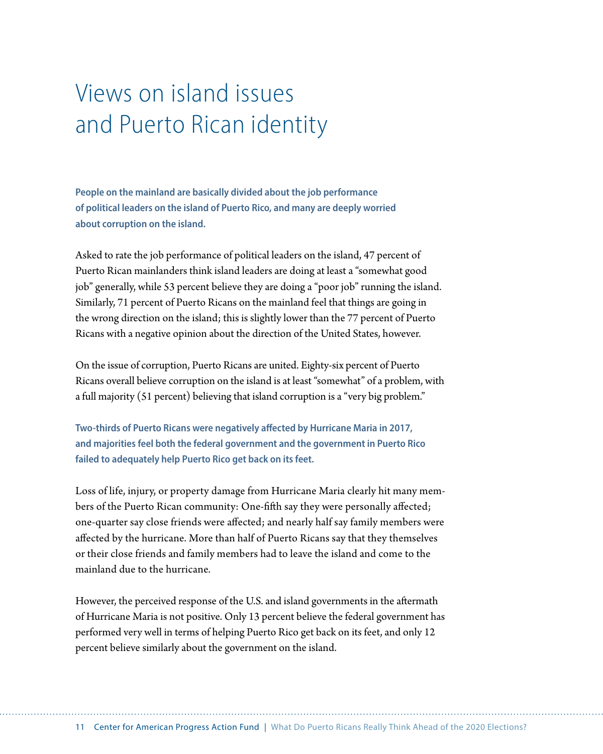# Views on island issues and Puerto Rican identity

**People on the mainland are basically divided about the job performance of political leaders on the island of Puerto Rico, and many are deeply worried about corruption on the island.**

Asked to rate the job performance of political leaders on the island, 47 percent of Puerto Rican mainlanders think island leaders are doing at least a "somewhat good job" generally, while 53 percent believe they are doing a "poor job" running the island. Similarly, 71 percent of Puerto Ricans on the mainland feel that things are going in the wrong direction on the island; this is slightly lower than the 77 percent of Puerto Ricans with a negative opinion about the direction of the United States, however.

On the issue of corruption, Puerto Ricans are united. Eighty-six percent of Puerto Ricans overall believe corruption on the island is at least "somewhat" of a problem, with a full majority (51 percent) believing that island corruption is a "very big problem."

**Two-thirds of Puerto Ricans were negatively affected by Hurricane Maria in 2017, and majorities feel both the federal government and the government in Puerto Rico failed to adequately help Puerto Rico get back on its feet.**

Loss of life, injury, or property damage from Hurricane Maria clearly hit many members of the Puerto Rican community: One-fifth say they were personally affected; one-quarter say close friends were affected; and nearly half say family members were affected by the hurricane. More than half of Puerto Ricans say that they themselves or their close friends and family members had to leave the island and come to the mainland due to the hurricane.

However, the perceived response of the U.S. and island governments in the aftermath of Hurricane Maria is not positive. Only 13 percent believe the federal government has performed very well in terms of helping Puerto Rico get back on its feet, and only 12 percent believe similarly about the government on the island.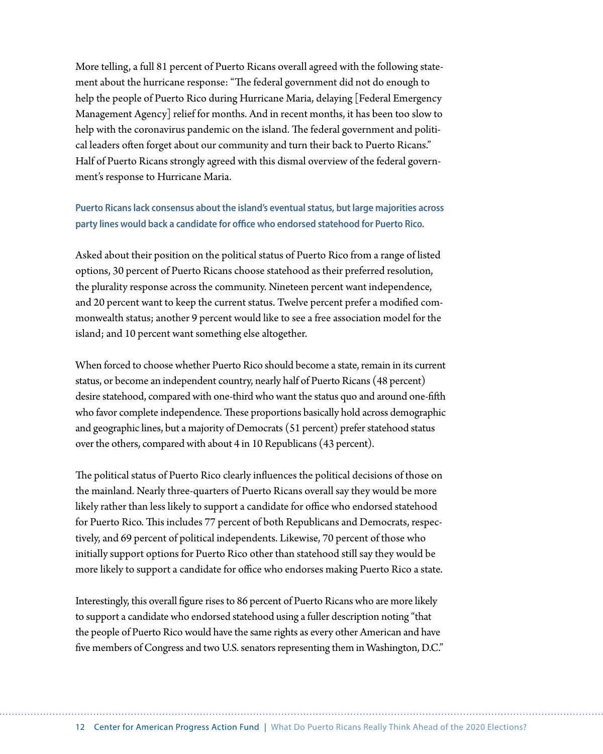More telling, a full 81 percent of Puerto Ricans overall agreed with the following statement about the hurricane response: "The federal government did not do enough to help the people of Puerto Rico during Hurricane Maria, delaying [Federal Emergency Management Agency] relief for months. And in recent months, it has been too slow to help with the coronavirus pandemic on the island. The federal government and political leaders often forget about our community and turn their back to Puerto Ricans." Half of Puerto Ricans strongly agreed with this dismal overview of the federal government's response to Hurricane Maria.

#### **Puerto Ricans lack consensus about the island's eventual status, but large majorities across party lines would back a candidate for office who endorsed statehood for Puerto Rico.**

Asked about their position on the political status of Puerto Rico from a range of listed options, 30 percent of Puerto Ricans choose statehood as their preferred resolution, the plurality response across the community. Nineteen percent want independence, and 20 percent want to keep the current status. Twelve percent prefer a modified commonwealth status; another 9 percent would like to see a free association model for the island; and 10 percent want something else altogether.

When forced to choose whether Puerto Rico should become a state, remain in its current status, or become an independent country, nearly half of Puerto Ricans (48 percent) desire statehood, compared with one-third who want the status quo and around one-fifth who favor complete independence. These proportions basically hold across demographic and geographic lines, but a majority of Democrats (51 percent) prefer statehood status over the others, compared with about 4 in 10 Republicans (43 percent).

The political status of Puerto Rico clearly influences the political decisions of those on the mainland. Nearly three-quarters of Puerto Ricans overall say they would be more likely rather than less likely to support a candidate for office who endorsed statehood for Puerto Rico. This includes 77 percent of both Republicans and Democrats, respectively, and 69 percent of political independents. Likewise, 70 percent of those who initially support options for Puerto Rico other than statehood still say they would be more likely to support a candidate for office who endorses making Puerto Rico a state.

Interestingly, this overall figure rises to 86 percent of Puerto Ricans who are more likely to support a candidate who endorsed statehood using a fuller description noting "that the people of Puerto Rico would have the same rights as every other American and have five members of Congress and two U.S. senators representing them in Washington, D.C."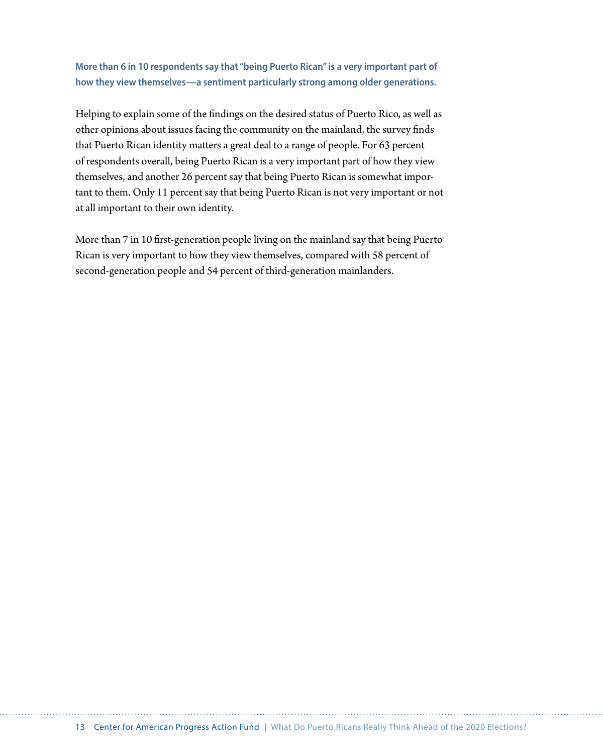**More than 6 in 10 respondents say that "being Puerto Rican" is a very important part of how they view themselves—a sentiment particularly strong among older generations.**

Helping to explain some of the findings on the desired status of Puerto Rico, as well as other opinions about issues facing the community on the mainland, the survey finds that Puerto Rican identity matters a great deal to a range of people. For 63 percent of respondents overall, being Puerto Rican is a very important part of how they view themselves, and another 26 percent say that being Puerto Rican is somewhat important to them. Only 11 percent say that being Puerto Rican is not very important or not at all important to their own identity.

More than 7 in 10 first-generation people living on the mainland say that being Puerto Rican is very important to how they view themselves, compared with 58 percent of second-generation people and 54 percent of third-generation mainlanders.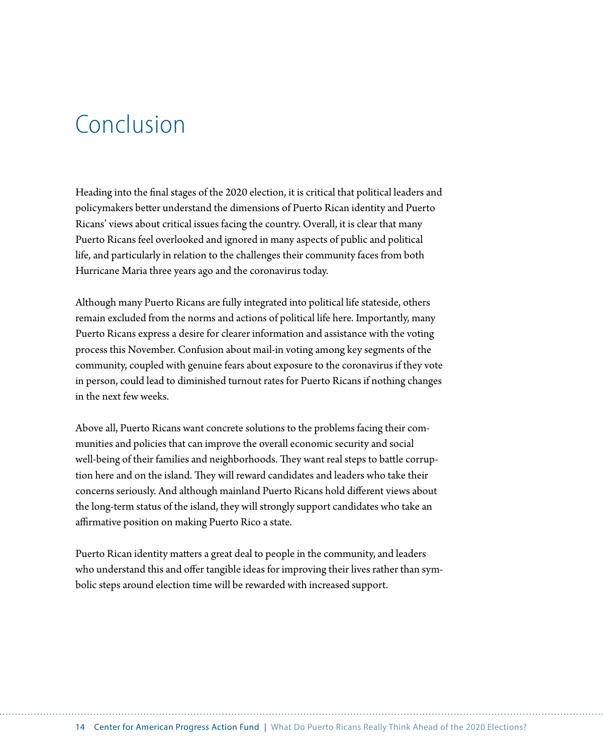### Conclusion

Heading into the final stages of the 2020 election, it is critical that political leaders and policymakers better understand the dimensions of Puerto Rican identity and Puerto Ricans' views about critical issues facing the country. Overall, it is clear that many Puerto Ricans feel overlooked and ignored in many aspects of public and political life, and particularly in relation to the challenges their community faces from both Hurricane Maria three years ago and the coronavirus today.

Although many Puerto Ricans are fully integrated into political life stateside, others remain excluded from the norms and actions of political life here. Importantly, many Puerto Ricans express a desire for clearer information and assistance with the voting process this November. Confusion about mail-in voting among key segments of the community, coupled with genuine fears about exposure to the coronavirus if they vote in person, could lead to diminished turnout rates for Puerto Ricans if nothing changes in the next few weeks.

Above all, Puerto Ricans want concrete solutions to the problems facing their communities and policies that can improve the overall economic security and social well-being of their families and neighborhoods. They want real steps to battle corruption here and on the island. They will reward candidates and leaders who take their concerns seriously. And although mainland Puerto Ricans hold different views about the long-term status of the island, they will strongly support candidates who take an affirmative position on making Puerto Rico a state.

Puerto Rican identity matters a great deal to people in the community, and leaders who understand this and offer tangible ideas for improving their lives rather than symbolic steps around election time will be rewarded with increased support.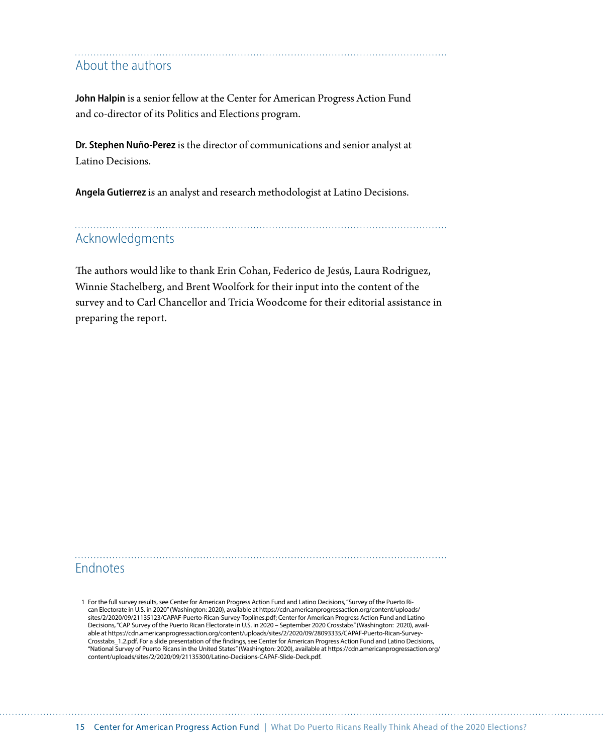### About the authors

**John Halpin** is a senior fellow at the Center for American Progress Action Fund and co-director of its Politics and Elections program.

**Dr. Stephen Nuño-Perez** is the director of communications and senior analyst at Latino Decisions.

**Angela Gutierrez** is an analyst and research methodologist at Latino Decisions.

### Acknowledgments

The authors would like to thank Erin Cohan, Federico de Jesús, Laura Rodriguez, Winnie Stachelberg, and Brent Woolfork for their input into the content of the survey and to Carl Chancellor and Tricia Woodcome for their editorial assistance in preparing the report.

### Endnotes

<sup>1</sup> For the full survey results, see Center for American Progress Action Fund and Latino Decisions, "Survey of the Puerto Rican Electorate in U.S. in 2020" (Washington: 2020), available at https://cdn.americanprogressaction.org/content/uploads/ sites/2/2020/09/21135123/CAPAF-Puerto-Rican-Survey-Toplines.pdf; Center for American Progress Action Fund and Latino Decisions, "CAP Survey of the Puerto Rican Electorate in U.S. in 2020 – September 2020 Crosstabs" (Washington: 2020), available at https://cdn.americanprogressaction.org/content/uploads/sites/2/2020/09/28093335/CAPAF-Puerto-Rican-Survey-Crosstabs\_1.2.pdf. For a slide presentation of the findings, see Center for American Progress Action Fund and Latino Decisions, "National Survey of Puerto Ricans in the United States" (Washington: 2020), available at https://cdn.americanprogressaction.org/ content/uploads/sites/2/2020/09/21135300/Latino-Decisions-CAPAF-Slide-Deck.pdf.